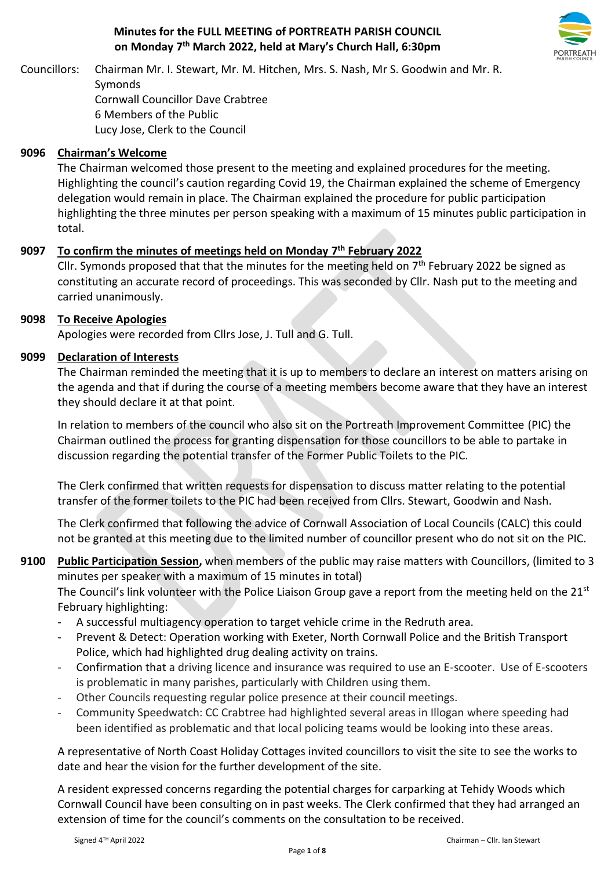## **Minutes for the FULL MEETING of PORTREATH PARISH COUNCIL on Monday 7 th March 2022, held at Mary's Church Hall, 6:30pm**



Councillors: Chairman Mr. I. Stewart, Mr. M. Hitchen, Mrs. S. Nash, Mr S. Goodwin and Mr. R. Symonds Cornwall Councillor Dave Crabtree 6 Members of the Public Lucy Jose, Clerk to the Council

## **9096 Chairman's Welcome**

The Chairman welcomed those present to the meeting and explained procedures for the meeting. Highlighting the council's caution regarding Covid 19, the Chairman explained the scheme of Emergency delegation would remain in place. The Chairman explained the procedure for public participation highlighting the three minutes per person speaking with a maximum of 15 minutes public participation in total.

## **9097 To confirm the minutes of meetings held on Monday 7 th February 2022**

Cllr. Symonds proposed that that the minutes for the meeting held on  $7<sup>th</sup>$  February 2022 be signed as constituting an accurate record of proceedings. This was seconded by Cllr. Nash put to the meeting and carried unanimously.

### **9098 To Receive Apologies**

Apologies were recorded from Cllrs Jose, J. Tull and G. Tull.

### **9099 Declaration of Interests**

The Chairman reminded the meeting that it is up to members to declare an interest on matters arising on the agenda and that if during the course of a meeting members become aware that they have an interest they should declare it at that point.

In relation to members of the council who also sit on the Portreath Improvement Committee (PIC) the Chairman outlined the process for granting dispensation for those councillors to be able to partake in discussion regarding the potential transfer of the Former Public Toilets to the PIC.

The Clerk confirmed that written requests for dispensation to discuss matter relating to the potential transfer of the former toilets to the PIC had been received from Cllrs. Stewart, Goodwin and Nash.

The Clerk confirmed that following the advice of Cornwall Association of Local Councils (CALC) this could not be granted at this meeting due to the limited number of councillor present who do not sit on the PIC.

**9100 Public Participation Session,** when members of the public may raise matters with Councillors, (limited to 3 minutes per speaker with a maximum of 15 minutes in total)

The Council's link volunteer with the Police Liaison Group gave a report from the meeting held on the  $21^{st}$ February highlighting:

- A successful multiagency operation to target vehicle crime in the Redruth area.
- Prevent & Detect: Operation working with Exeter, North Cornwall Police and the British Transport Police, which had highlighted drug dealing activity on trains.
- Confirmation that a driving licence and insurance was required to use an E-scooter. Use of E-scooters is problematic in many parishes, particularly with Children using them.
- Other Councils requesting regular police presence at their council meetings.
- Community Speedwatch: CC Crabtree had highlighted several areas in Illogan where speeding had been identified as problematic and that local policing teams would be looking into these areas.

A representative of North Coast Holiday Cottages invited councillors to visit the site to see the works to date and hear the vision for the further development of the site.

A resident expressed concerns regarding the potential charges for carparking at Tehidy Woods which Cornwall Council have been consulting on in past weeks. The Clerk confirmed that they had arranged an extension of time for the council's comments on the consultation to be received.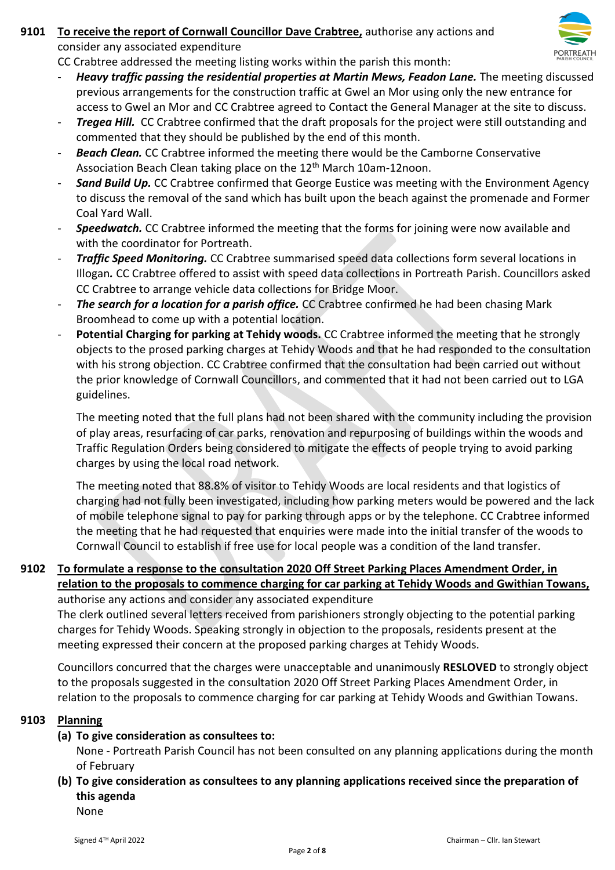# **9101 To receive the report of Cornwall Councillor Dave Crabtree,** authorise any actions and



CC Crabtree addressed the meeting listing works within the parish this month:

- *Heavy traffic passing the residential properties at Martin Mews, Feadon Lane.* The meeting discussed previous arrangements for the construction traffic at Gwel an Mor using only the new entrance for access to Gwel an Mor and CC Crabtree agreed to Contact the General Manager at the site to discuss.
- *Tregea Hill.* CC Crabtree confirmed that the draft proposals for the project were still outstanding and commented that they should be published by the end of this month.
- *Beach Clean.* CC Crabtree informed the meeting there would be the Camborne Conservative Association Beach Clean taking place on the 12th March 10am-12noon.
- **Sand Build Up.** CC Crabtree confirmed that George Eustice was meeting with the Environment Agency to discuss the removal of the sand which has built upon the beach against the promenade and Former Coal Yard Wall.
- **Speedwatch.** CC Crabtree informed the meeting that the forms for joining were now available and with the coordinator for Portreath.
- *Traffic Speed Monitoring.* CC Crabtree summarised speed data collections form several locations in Illogan*.* CC Crabtree offered to assist with speed data collections in Portreath Parish. Councillors asked CC Crabtree to arrange vehicle data collections for Bridge Moor.
- *The search for a location for a parish office.* CC Crabtree confirmed he had been chasing Mark Broomhead to come up with a potential location.
- Potential Charging for parking at Tehidy woods. CC Crabtree informed the meeting that he strongly objects to the prosed parking charges at Tehidy Woods and that he had responded to the consultation with his strong objection. CC Crabtree confirmed that the consultation had been carried out without the prior knowledge of Cornwall Councillors, and commented that it had not been carried out to LGA guidelines.

The meeting noted that the full plans had not been shared with the community including the provision of play areas, resurfacing of car parks, renovation and repurposing of buildings within the woods and Traffic Regulation Orders being considered to mitigate the effects of people trying to avoid parking charges by using the local road network.

The meeting noted that 88.8% of visitor to Tehidy Woods are local residents and that logistics of charging had not fully been investigated, including how parking meters would be powered and the lack of mobile telephone signal to pay for parking through apps or by the telephone. CC Crabtree informed the meeting that he had requested that enquiries were made into the initial transfer of the woods to Cornwall Council to establish if free use for local people was a condition of the land transfer.

### **9102 To formulate a response to the consultation 2020 Off Street Parking Places Amendment Order, in relation to the proposals to commence charging for car parking at Tehidy Woods and Gwithian Towans,** authorise any actions and consider any associated expenditure

The clerk outlined several letters received from parishioners strongly objecting to the potential parking charges for Tehidy Woods. Speaking strongly in objection to the proposals, residents present at the meeting expressed their concern at the proposed parking charges at Tehidy Woods.

Councillors concurred that the charges were unacceptable and unanimously **RESLOVED** to strongly object to the proposals suggested in the consultation 2020 Off Street Parking Places Amendment Order, in relation to the proposals to commence charging for car parking at Tehidy Woods and Gwithian Towans.

## **9103 Planning**

**(a) To give consideration as consultees to:**

None - Portreath Parish Council has not been consulted on any planning applications during the month of February

### **(b) To give consideration as consultees to any planning applications received since the preparation of this agenda** None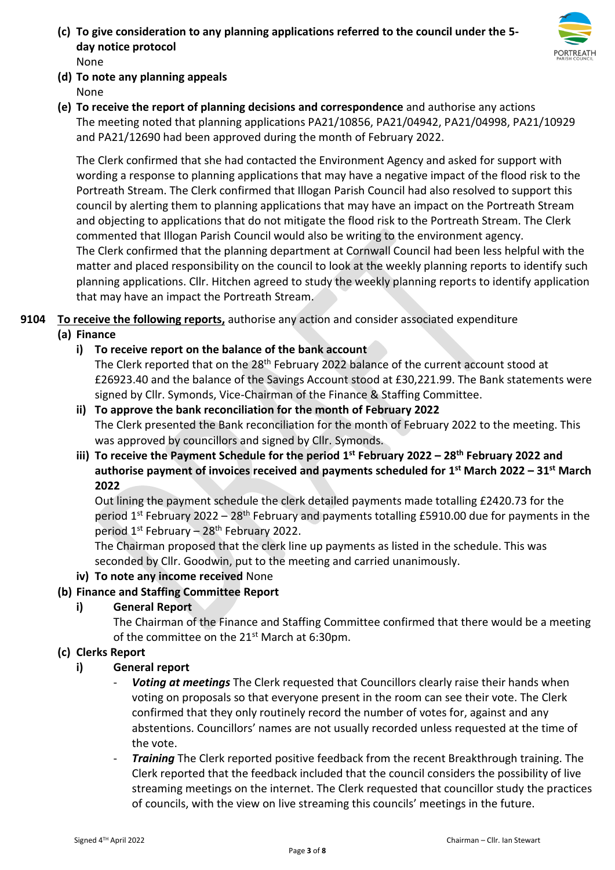**(c) To give consideration to any planning applications referred to the council under the 5 day notice protocol**  None



- **(d) To note any planning appeals** None
- **(e) To receive the report of planning decisions and correspondence** and authorise any actions The meeting noted that planning applications PA21/10856, PA21/04942, PA21/04998, PA21/10929 and PA21/12690 had been approved during the month of February 2022.

The Clerk confirmed that she had contacted the Environment Agency and asked for support with wording a response to planning applications that may have a negative impact of the flood risk to the Portreath Stream. The Clerk confirmed that Illogan Parish Council had also resolved to support this council by alerting them to planning applications that may have an impact on the Portreath Stream and objecting to applications that do not mitigate the flood risk to the Portreath Stream. The Clerk commented that Illogan Parish Council would also be writing to the environment agency. The Clerk confirmed that the planning department at Cornwall Council had been less helpful with the matter and placed responsibility on the council to look at the weekly planning reports to identify such planning applications. Cllr. Hitchen agreed to study the weekly planning reports to identify application that may have an impact the Portreath Stream.

**9104 To receive the following reports,** authorise any action and consider associated expenditure

# **(a) Finance**

**i) To receive report on the balance of the bank account** 

The Clerk reported that on the 28<sup>th</sup> February 2022 balance of the current account stood at £26923.40 and the balance of the Savings Account stood at £30,221.99. The Bank statements were signed by Cllr. Symonds, Vice-Chairman of the Finance & Staffing Committee.

- **ii) To approve the bank reconciliation for the month of February 2022**  The Clerk presented the Bank reconciliation for the month of February 2022 to the meeting. This was approved by councillors and signed by Cllr. Symonds.
- **iii) To receive the Payment Schedule for the period 1 st February 2022 – 28th February 2022 and authorise payment of invoices received and payments scheduled for 1 st March 2022 – 31st March 2022**

Out lining the payment schedule the clerk detailed payments made totalling £2420.73 for the period  $1^{st}$  February 2022 – 28<sup>th</sup> February and payments totalling £5910.00 due for payments in the period  $1^{st}$  February – 28<sup>th</sup> February 2022.

The Chairman proposed that the clerk line up payments as listed in the schedule. This was seconded by Cllr. Goodwin, put to the meeting and carried unanimously.

**iv) To note any income received** None

# **(b) Finance and Staffing Committee Report**

**i) General Report** 

The Chairman of the Finance and Staffing Committee confirmed that there would be a meeting of the committee on the 21<sup>st</sup> March at 6:30pm.

# **(c) Clerks Report**

## **i) General report**

- Voting at meetings The Clerk requested that Councillors clearly raise their hands when voting on proposals so that everyone present in the room can see their vote. The Clerk confirmed that they only routinely record the number of votes for, against and any abstentions. Councillors' names are not usually recorded unless requested at the time of the vote.
- *Training* The Clerk reported positive feedback from the recent Breakthrough training. The Clerk reported that the feedback included that the council considers the possibility of live streaming meetings on the internet. The Clerk requested that councillor study the practices of councils, with the view on live streaming this councils' meetings in the future.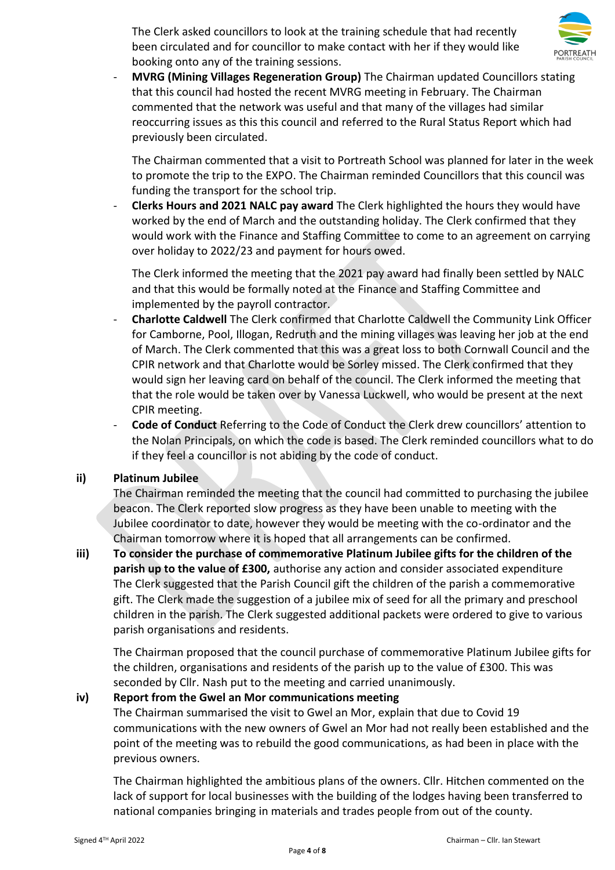The Clerk asked councillors to look at the training schedule that had recently been circulated and for councillor to make contact with her if they would like booking onto any of the training sessions.



- **MVRG (Mining Villages Regeneration Group)** The Chairman updated Councillors stating that this council had hosted the recent MVRG meeting in February. The Chairman commented that the network was useful and that many of the villages had similar reoccurring issues as this this council and referred to the Rural Status Report which had previously been circulated.

The Chairman commented that a visit to Portreath School was planned for later in the week to promote the trip to the EXPO. The Chairman reminded Councillors that this council was funding the transport for the school trip.

**Clerks Hours and 2021 NALC pay award** The Clerk highlighted the hours they would have worked by the end of March and the outstanding holiday. The Clerk confirmed that they would work with the Finance and Staffing Committee to come to an agreement on carrying over holiday to 2022/23 and payment for hours owed.

The Clerk informed the meeting that the 2021 pay award had finally been settled by NALC and that this would be formally noted at the Finance and Staffing Committee and implemented by the payroll contractor.

- **Charlotte Caldwell** The Clerk confirmed that Charlotte Caldwell the Community Link Officer for Camborne, Pool, Illogan, Redruth and the mining villages was leaving her job at the end of March. The Clerk commented that this was a great loss to both Cornwall Council and the CPIR network and that Charlotte would be Sorley missed. The Clerk confirmed that they would sign her leaving card on behalf of the council. The Clerk informed the meeting that that the role would be taken over by Vanessa Luckwell, who would be present at the next CPIR meeting.
- **Code of Conduct** Referring to the Code of Conduct the Clerk drew councillors' attention to the Nolan Principals, on which the code is based. The Clerk reminded councillors what to do if they feel a councillor is not abiding by the code of conduct.

## **ii) Platinum Jubilee**

The Chairman reminded the meeting that the council had committed to purchasing the jubilee beacon. The Clerk reported slow progress as they have been unable to meeting with the Jubilee coordinator to date, however they would be meeting with the co-ordinator and the Chairman tomorrow where it is hoped that all arrangements can be confirmed.

**iii) To consider the purchase of commemorative Platinum Jubilee gifts for the children of the parish up to the value of £300,** authorise any action and consider associated expenditure The Clerk suggested that the Parish Council gift the children of the parish a commemorative gift. The Clerk made the suggestion of a jubilee mix of seed for all the primary and preschool children in the parish. The Clerk suggested additional packets were ordered to give to various parish organisations and residents.

The Chairman proposed that the council purchase of commemorative Platinum Jubilee gifts for the children, organisations and residents of the parish up to the value of £300. This was seconded by Cllr. Nash put to the meeting and carried unanimously.

# **iv) Report from the Gwel an Mor communications meeting**

The Chairman summarised the visit to Gwel an Mor, explain that due to Covid 19 communications with the new owners of Gwel an Mor had not really been established and the point of the meeting was to rebuild the good communications, as had been in place with the previous owners.

The Chairman highlighted the ambitious plans of the owners. Cllr. Hitchen commented on the lack of support for local businesses with the building of the lodges having been transferred to national companies bringing in materials and trades people from out of the county.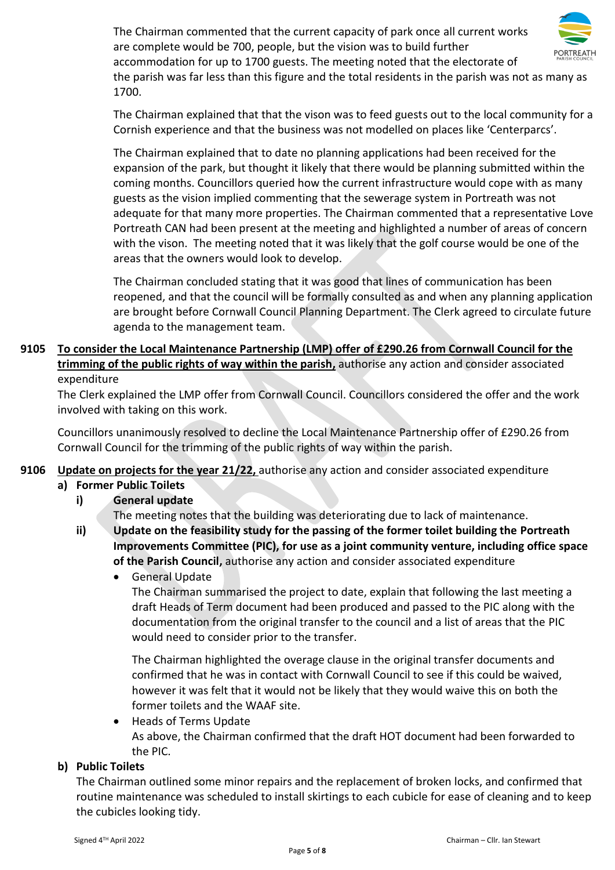The Chairman commented that the current capacity of park once all current works are complete would be 700, people, but the vision was to build further accommodation for up to 1700 guests. The meeting noted that the electorate of the parish was far less than this figure and the total residents in the parish was not as many as 1700.

The Chairman explained that that the vison was to feed guests out to the local community for a Cornish experience and that the business was not modelled on places like 'Centerparcs'.

The Chairman explained that to date no planning applications had been received for the expansion of the park, but thought it likely that there would be planning submitted within the coming months. Councillors queried how the current infrastructure would cope with as many guests as the vision implied commenting that the sewerage system in Portreath was not adequate for that many more properties. The Chairman commented that a representative Love Portreath CAN had been present at the meeting and highlighted a number of areas of concern with the vison. The meeting noted that it was likely that the golf course would be one of the areas that the owners would look to develop.

The Chairman concluded stating that it was good that lines of communication has been reopened, and that the council will be formally consulted as and when any planning application are brought before Cornwall Council Planning Department. The Clerk agreed to circulate future agenda to the management team.

# **9105 To consider the Local Maintenance Partnership (LMP) offer of £290.26 from Cornwall Council for the trimming of the public rights of way within the parish,** authorise any action and consider associated expenditure

The Clerk explained the LMP offer from Cornwall Council. Councillors considered the offer and the work involved with taking on this work.

Councillors unanimously resolved to decline the Local Maintenance Partnership offer of £290.26 from Cornwall Council for the trimming of the public rights of way within the parish.

# **9106 Update on projects for the year 21/22,** authorise any action and consider associated expenditure

# **a) Former Public Toilets**

# **i) General update**

The meeting notes that the building was deteriorating due to lack of maintenance.

- **ii) Update on the feasibility study for the passing of the former toilet building the Portreath Improvements Committee (PIC), for use as a joint community venture, including office space of the Parish Council,** authorise any action and consider associated expenditure
	- General Update

The Chairman summarised the project to date, explain that following the last meeting a draft Heads of Term document had been produced and passed to the PIC along with the documentation from the original transfer to the council and a list of areas that the PIC would need to consider prior to the transfer.

The Chairman highlighted the overage clause in the original transfer documents and confirmed that he was in contact with Cornwall Council to see if this could be waived, however it was felt that it would not be likely that they would waive this on both the former toilets and the WAAF site.

• Heads of Terms Update As above, the Chairman confirmed that the draft HOT document had been forwarded to the PIC.

# **b) Public Toilets**

The Chairman outlined some minor repairs and the replacement of broken locks, and confirmed that routine maintenance was scheduled to install skirtings to each cubicle for ease of cleaning and to keep the cubicles looking tidy.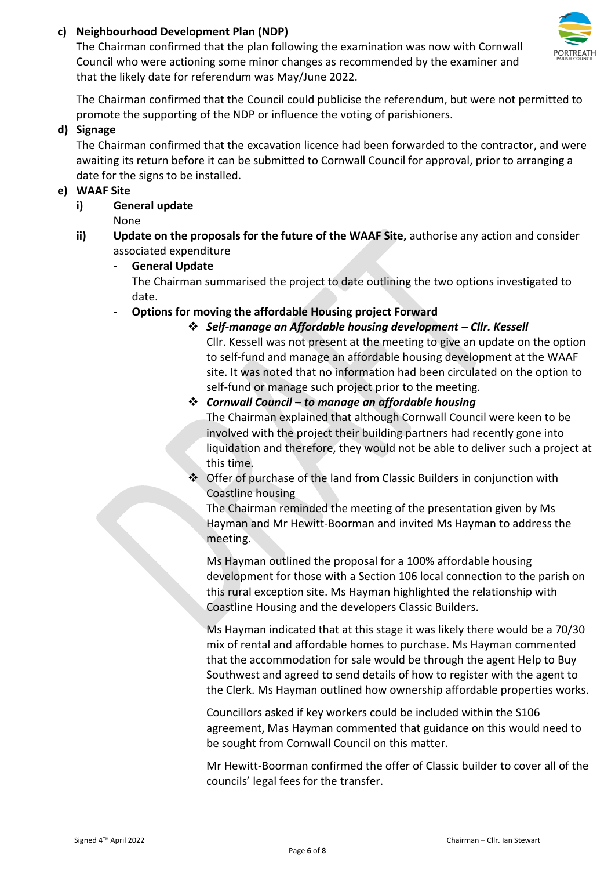## **c) Neighbourhood Development Plan (NDP)**

The Chairman confirmed that the plan following the examination was now with Cornwall Council who were actioning some minor changes as recommended by the examiner and that the likely date for referendum was May/June 2022.



### **d) Signage**

The Chairman confirmed that the excavation licence had been forwarded to the contractor, and were awaiting its return before it can be submitted to Cornwall Council for approval, prior to arranging a date for the signs to be installed.

### **e) WAAF Site**

**i) General update** 

None

- **ii) Update on the proposals for the future of the WAAF Site,** authorise any action and consider associated expenditure
	- **General Update**  The Chairman summarised the project to date outlining the two options investigated to date.
	- **Options for moving the affordable Housing project Forward** 
		- ❖ *Self-manage an Affordable housing development – Cllr. Kessell* Cllr. Kessell was not present at the meeting to give an update on the option to self-fund and manage an affordable housing development at the WAAF site. It was noted that no information had been circulated on the option to self-fund or manage such project prior to the meeting.
		- ❖ *Cornwall Council – to manage an affordable housing*  The Chairman explained that although Cornwall Council were keen to be involved with the project their building partners had recently gone into liquidation and therefore, they would not be able to deliver such a project at this time.
		- ❖ Offer of purchase of the land from Classic Builders in conjunction with Coastline housing

The Chairman reminded the meeting of the presentation given by Ms Hayman and Mr Hewitt-Boorman and invited Ms Hayman to address the meeting.

Ms Hayman outlined the proposal for a 100% affordable housing development for those with a Section 106 local connection to the parish on this rural exception site. Ms Hayman highlighted the relationship with Coastline Housing and the developers Classic Builders.

Ms Hayman indicated that at this stage it was likely there would be a 70/30 mix of rental and affordable homes to purchase. Ms Hayman commented that the accommodation for sale would be through the agent Help to Buy Southwest and agreed to send details of how to register with the agent to the Clerk. Ms Hayman outlined how ownership affordable properties works.

Councillors asked if key workers could be included within the S106 agreement, Mas Hayman commented that guidance on this would need to be sought from Cornwall Council on this matter.

Mr Hewitt-Boorman confirmed the offer of Classic builder to cover all of the councils' legal fees for the transfer.

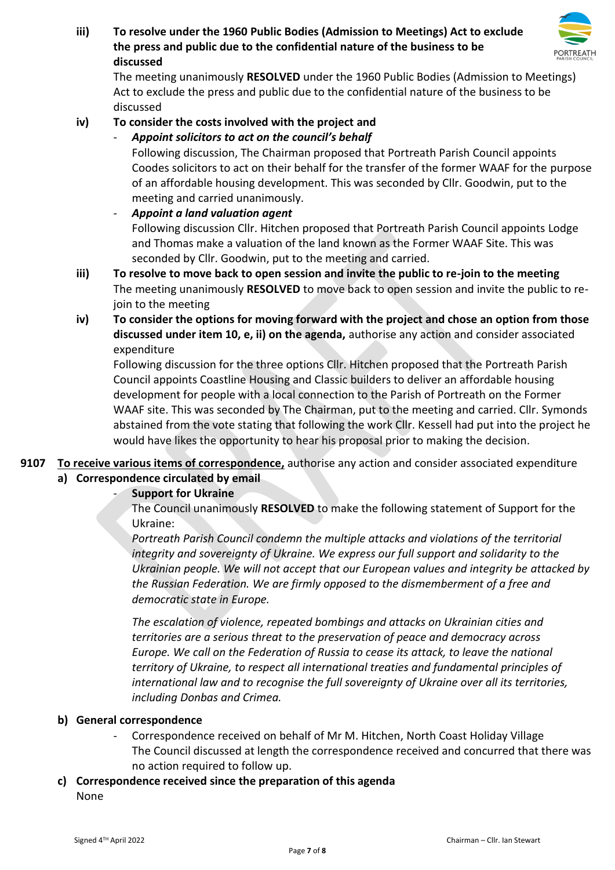**iii) To resolve under the 1960 Public Bodies (Admission to Meetings) Act to exclude the press and public due to the confidential nature of the business to be discussed**



The meeting unanimously **RESOLVED** under the 1960 Public Bodies (Admission to Meetings) Act to exclude the press and public due to the confidential nature of the business to be discussed

# **iv) To consider the costs involved with the project and**

- *Appoint solicitors to act on the council's behalf* 

Following discussion, The Chairman proposed that Portreath Parish Council appoints Coodes solicitors to act on their behalf for the transfer of the former WAAF for the purpose of an affordable housing development. This was seconded by Cllr. Goodwin, put to the meeting and carried unanimously.

- *Appoint a land valuation agent* Following discussion Cllr. Hitchen proposed that Portreath Parish Council appoints Lodge and Thomas make a valuation of the land known as the Former WAAF Site. This was seconded by Cllr. Goodwin, put to the meeting and carried.
- **iii) To resolve to move back to open session and invite the public to re-join to the meeting**  The meeting unanimously **RESOLVED** to move back to open session and invite the public to rejoin to the meeting
- **iv) To consider the options for moving forward with the project and chose an option from those discussed under item 10, e, ii) on the agenda,** authorise any action and consider associated expenditure

Following discussion for the three options Cllr. Hitchen proposed that the Portreath Parish Council appoints Coastline Housing and Classic builders to deliver an affordable housing development for people with a local connection to the Parish of Portreath on the Former WAAF site. This was seconded by The Chairman, put to the meeting and carried. Cllr. Symonds abstained from the vote stating that following the work Cllr. Kessell had put into the project he would have likes the opportunity to hear his proposal prior to making the decision.

**9107 To receive various items of correspondence,** authorise any action and consider associated expenditure **a) Correspondence circulated by email**

## - **Support for Ukraine**

The Council unanimously **RESOLVED** to make the following statement of Support for the Ukraine:

*Portreath Parish Council condemn the multiple attacks and violations of the territorial integrity and sovereignty of Ukraine. We express our full support and solidarity to the Ukrainian people. We will not accept that our European values and integrity be attacked by the Russian Federation. We are firmly opposed to the dismemberment of a free and democratic state in Europe.*

*The escalation of violence, repeated bombings and attacks on Ukrainian cities and territories are a serious threat to the preservation of peace and democracy across Europe. We call on the Federation of Russia to cease its attack, to leave the national territory of Ukraine, to respect all international treaties and fundamental principles of international law and to recognise the full sovereignty of Ukraine over all its territories, including Donbas and Crimea.*

## **b) General correspondence**

- Correspondence received on behalf of Mr M. Hitchen, North Coast Holiday Village The Council discussed at length the correspondence received and concurred that there was no action required to follow up.
- **c) Correspondence received since the preparation of this agenda**

None